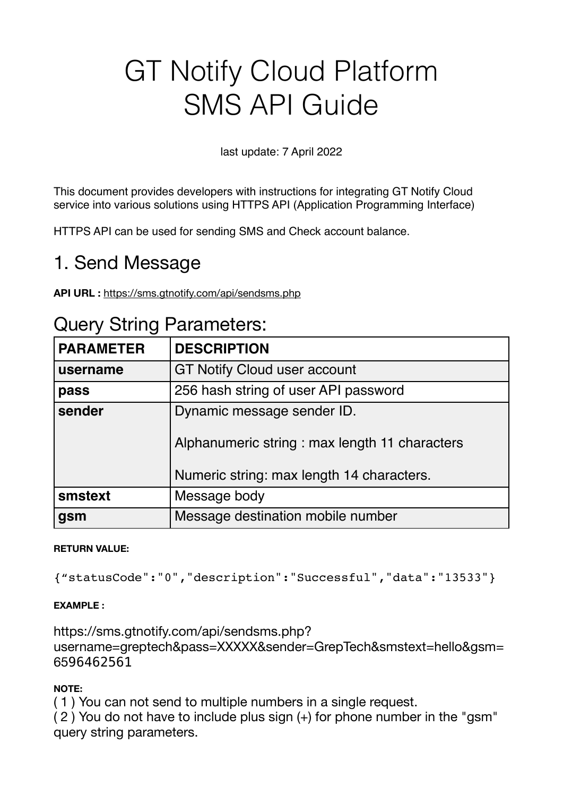# GT Notify Cloud Platform SMS API Guide

### last update: 7 April 2022

This document provides developers with instructions for integrating GT Notify Cloud service into various solutions using HTTPS API (Application Programming Interface)

HTTPS API can be used for sending SMS and Check account balance.

# 1. Send Message

**API URL :** <https://sms.gtnotify.com/api/sendsms.php>

| $\alpha$ . $\alpha$ . $\alpha$ . $\alpha$ . $\alpha$ . $\alpha$ . $\alpha$ . |                                                                                                                          |
|------------------------------------------------------------------------------|--------------------------------------------------------------------------------------------------------------------------|
| <b>PARAMETER</b>                                                             | <b>DESCRIPTION</b>                                                                                                       |
| username                                                                     | <b>GT Notify Cloud user account</b>                                                                                      |
| pass                                                                         | 256 hash string of user API password                                                                                     |
| sender                                                                       | Dynamic message sender ID.<br>Alphanumeric string: max length 11 characters<br>Numeric string: max length 14 characters. |
| smstext                                                                      | Message body                                                                                                             |
| gsm                                                                          | Message destination mobile number                                                                                        |

### Query String Parameters:

#### **RETURN VALUE:**

{"statusCode":"0","description":"Successful","data":"13533"}

#### **EXAMPLE :**

https://sms.gtnotify.com/api/sendsms.php? username=greptech&pass=XXXXX&sender=GrepTech&smstext=hello&gsm= 6596462561

#### **NOTE:**

( 1 ) You can not send to multiple numbers in a single request.

( 2 ) You do not have to include plus sign (+) for phone number in the "gsm" query string parameters.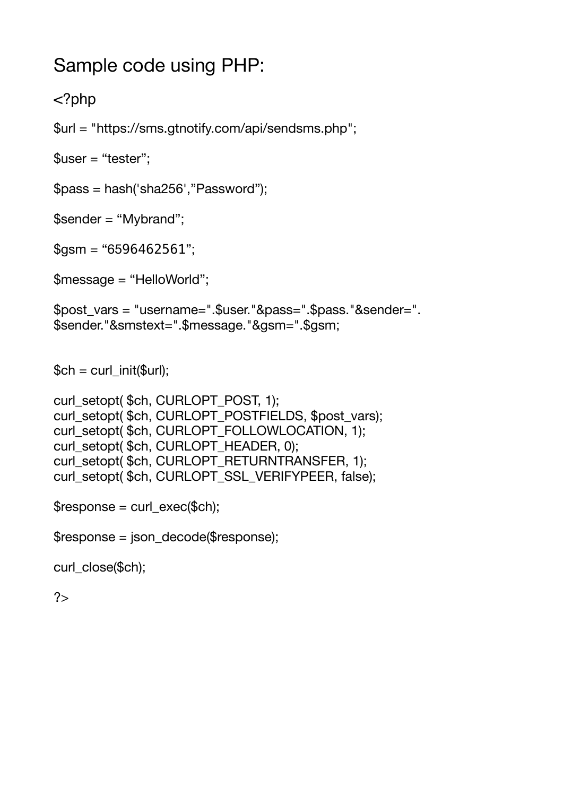# Sample code using PHP:

### <?php

\$url = ["https://sms.gtnotify.com/api/sendsms.php"](https://sms.gtnotify.com/api/sendsms.php);

 $$user = "tester";$ 

\$pass = hash('sha256',"Password");

\$sender = "Mybrand";

 $$gsm = "6596462561";$ 

\$message = "HelloWorld";

\$post\_vars = "username=".\$user."&pass=".\$pass."&sender=". \$sender."&smstext=".\$message."&gsm=".\$gsm;

 $$ch = curl$  init( $$url);$ 

```
curl_setopt( $ch, CURLOPT_POST, 1);
curl_setopt( $ch, CURLOPT_POSTFIELDS, $post_vars);
curl_setopt($ch, CURLOPT_FOLLOWLOCATION, 1);
curl_setopt( $ch, CURLOPT_HEADER, 0);
curl_setopt($ch, CURLOPT_RETURNTRANSFER, 1);
curl_setopt( $ch, CURLOPT_SSL_VERIFYPEER, false);
```

```
$response = curl\_exec(<math>$ch</math>);
```
\$response = json\_decode(\$response);

curl\_close(\$ch);

 $2$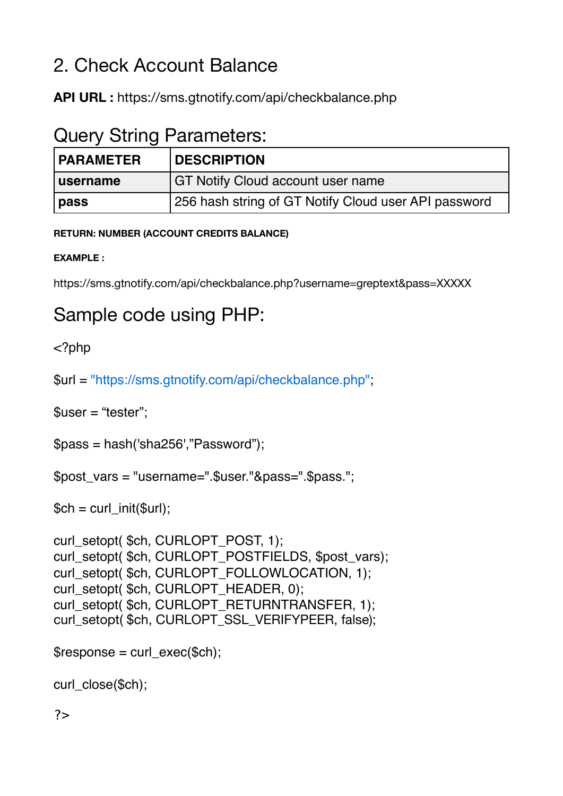# 2. Check Account Balance

**API URL :** [https://sms.gtnotify.com/api/c](https://sms.gtnotify.com/api/)heckbalance.php

# Query String Parameters:

| <b>PARAMETER</b> | <b>DESCRIPTION</b>                                   |
|------------------|------------------------------------------------------|
| username         | GT Notify Cloud account user name                    |
| pass             | 256 hash string of GT Notify Cloud user API password |

**RETURN: NUMBER (ACCOUNT CREDITS BALANCE)**

### **EXAMPLE :**

https://sms.gtnotify.com/api/checkbalance.php?username=greptext&pass=XXXXX

# Sample code using PHP:

<?php

\$url = ["https://sms.gtnotify.com/api/checkbalance.php"](https://sms.gtnotify.com/api/checkbalance.php);

\$user = "tester";

\$pass = hash('sha256',"Password");

\$post\_vars = "username=".\$user."&pass=".\$pass.";

 $$ch = curl_init({$url});$ 

```
curl_setopt( $ch, CURLOPT_POST, 1);
curl_setopt( $ch, CURLOPT_POSTFIELDS, $post_vars);
curl_setopt( $ch, CURLOPT_FOLLOWLOCATION, 1);
curl_setopt( $ch, CURLOPT_HEADER, 0);
curl_setopt( $ch, CURLOPT_RETURNTRANSFER, 1);
curl_setopt($ch, CURLOPT_SSL_VERIFYPEER, false);
```

```
$response = curl\_exec(<math>$ch</math>);
```
curl\_close(\$ch);

?>